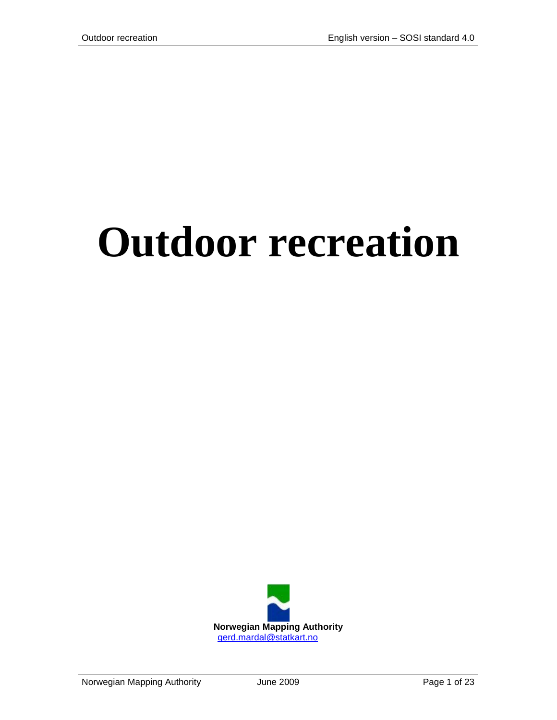# **Outdoor recreation**

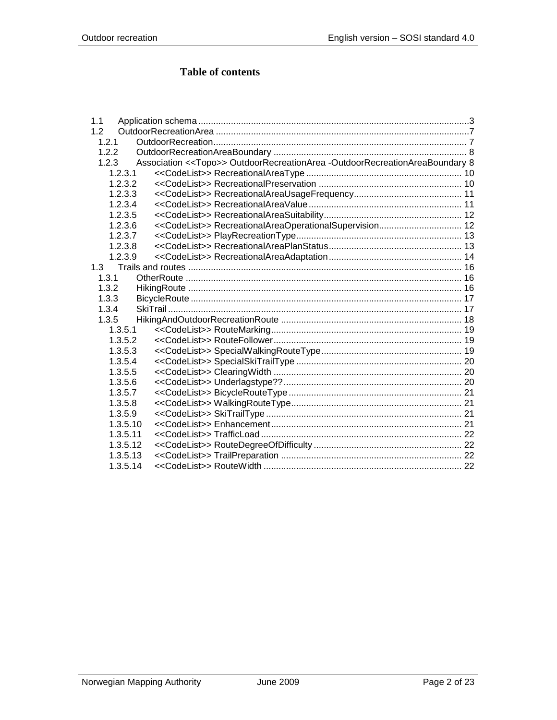# **Table of contents**

| 1.1      |                                                                                        |  |
|----------|----------------------------------------------------------------------------------------|--|
| 1.2      |                                                                                        |  |
| 1.2.1    |                                                                                        |  |
| 1.2.2    |                                                                                        |  |
| 1.2.3    | Association < <topo>&gt; OutdoorRecreationArea -OutdoorRecreationAreaBoundary 8</topo> |  |
| 1.2.3.1  |                                                                                        |  |
| 1.2.3.2  |                                                                                        |  |
| 1.2.3.3  |                                                                                        |  |
| 1.2.3.4  |                                                                                        |  |
| 1.2.3.5  |                                                                                        |  |
| 1.2.3.6  |                                                                                        |  |
| 1.2.3.7  |                                                                                        |  |
| 1.2.3.8  |                                                                                        |  |
| 1.2.3.9  |                                                                                        |  |
| 1.3      |                                                                                        |  |
| 1.3.1    |                                                                                        |  |
| 1.3.2    |                                                                                        |  |
| 1.3.3    |                                                                                        |  |
| 1.3.4    |                                                                                        |  |
| 1.3.5    |                                                                                        |  |
| 1.3.5.1  |                                                                                        |  |
| 1.3.5.2  |                                                                                        |  |
| 1.3.5.3  |                                                                                        |  |
| 1.3.5.4  |                                                                                        |  |
| 1.3.5.5  |                                                                                        |  |
| 1.3.5.6  |                                                                                        |  |
| 1.3.5.7  |                                                                                        |  |
| 1.3.5.8  |                                                                                        |  |
| 1.3.5.9  |                                                                                        |  |
| 1.3.5.10 |                                                                                        |  |
| 1.3.5.11 |                                                                                        |  |
| 1.3.5.12 |                                                                                        |  |
| 1.3.5.13 |                                                                                        |  |
| 1.3.5.14 |                                                                                        |  |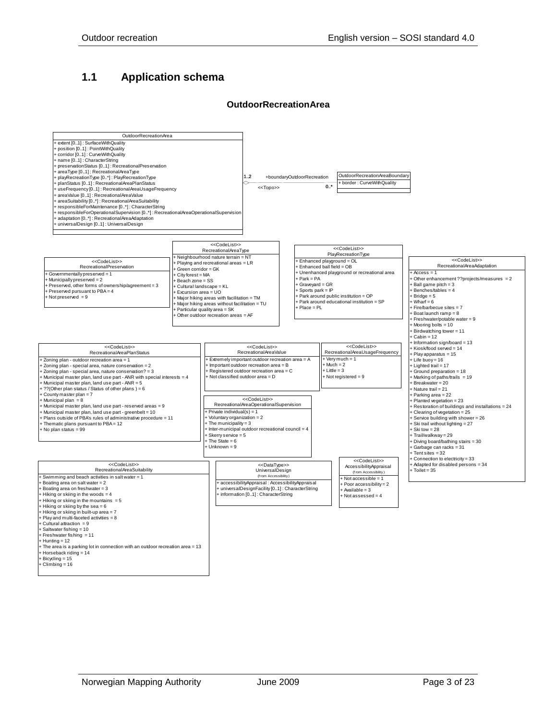# <span id="page-2-0"></span>**1.1 Application schema**



#### **OutdoorRecreationArea**

+ Horseback riding = 14 + Bicycling = 15 + Climbing = 16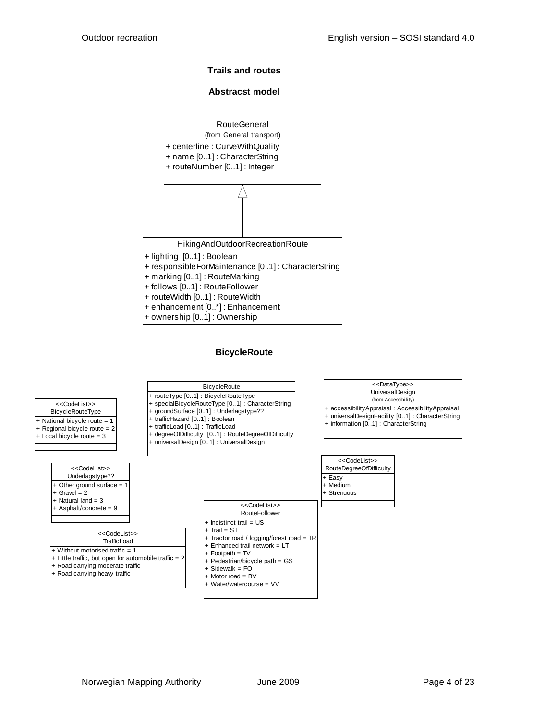#### **Trails and routes**

#### **Abstracst model**



#### **BicycleRoute**

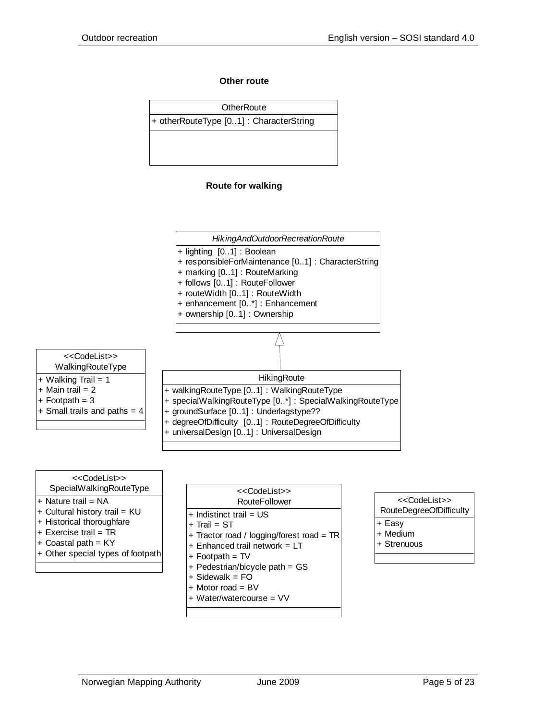#### **Other route**



#### **Route for walking**







#### <<CodeList>>

- RouteDegreeOfDifficulty
- + Easy
- + Medium
- + Strenuous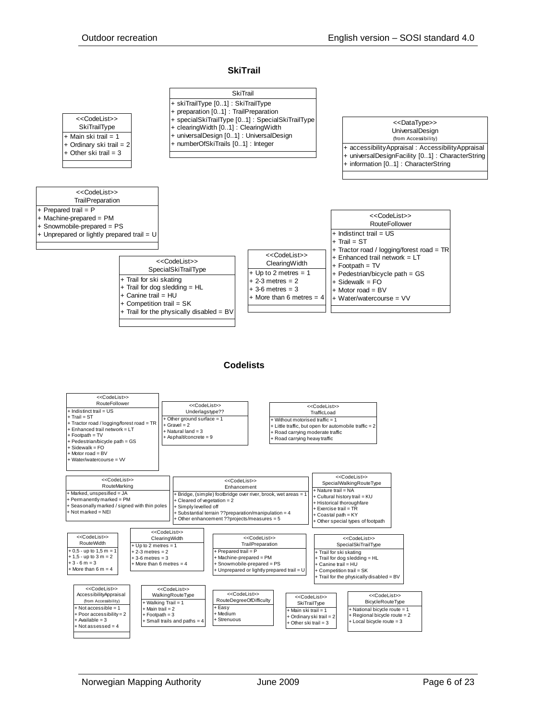#### **SkiTrail**

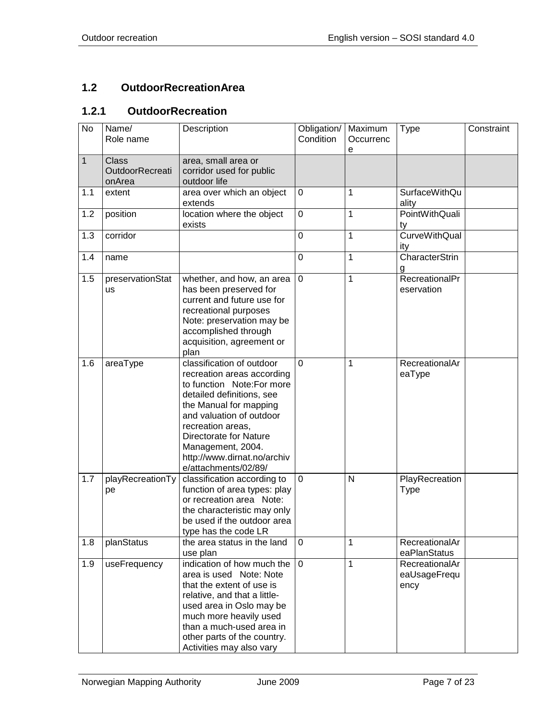# <span id="page-6-0"></span>**1.2 OutdoorRecreationArea**

# <span id="page-6-1"></span>**1.2.1 OutdoorRecreation**

| No             | Name/<br>Role name                               | Description                                                                                                                                                                                                                                                                                        | Obligation/<br>Condition | Maximum<br>Occurrenc<br>e | <b>Type</b>                            | Constraint |
|----------------|--------------------------------------------------|----------------------------------------------------------------------------------------------------------------------------------------------------------------------------------------------------------------------------------------------------------------------------------------------------|--------------------------|---------------------------|----------------------------------------|------------|
| $\overline{1}$ | <b>Class</b><br><b>OutdoorRecreati</b><br>onArea | area, small area or<br>corridor used for public<br>outdoor life                                                                                                                                                                                                                                    |                          |                           |                                        |            |
| 1.1            | extent                                           | area over which an object<br>extends                                                                                                                                                                                                                                                               | $\mathbf 0$              | 1                         | SurfaceWithQu<br>ality                 |            |
| 1.2            | position                                         | location where the object<br>exists                                                                                                                                                                                                                                                                | $\mathbf 0$              | 1                         | <b>PointWithQuali</b><br>ty            |            |
| 1.3            | corridor                                         |                                                                                                                                                                                                                                                                                                    | 0                        | 1                         | <b>CurveWithQual</b><br>ity            |            |
| 1.4            | name                                             |                                                                                                                                                                                                                                                                                                    | 0                        | 1                         | CharacterStrin<br>g                    |            |
| 1.5            | preservationStat<br>us                           | whether, and how, an area<br>has been preserved for<br>current and future use for<br>recreational purposes<br>Note: preservation may be<br>accomplished through<br>acquisition, agreement or<br>plan                                                                                               | $\mathbf 0$              | 1                         | RecreationalPr<br>eservation           |            |
| 1.6            | areaType                                         | classification of outdoor<br>recreation areas according<br>to function Note:For more<br>detailed definitions, see<br>the Manual for mapping<br>and valuation of outdoor<br>recreation areas,<br>Directorate for Nature<br>Management, 2004.<br>http://www.dirnat.no/archiv<br>e/attachments/02/89/ | 0                        | 1                         | RecreationalAr<br>eaType               |            |
| 1.7            | playRecreationTy<br>pe                           | classification according to<br>function of area types: play<br>or recreation area Note:<br>the characteristic may only<br>be used if the outdoor area<br>type has the code LR                                                                                                                      | 0                        | $\mathsf{N}$              | PlayRecreation<br>Type                 |            |
| 1.8            | planStatus                                       | the area status in the land<br>use plan                                                                                                                                                                                                                                                            | $\Omega$                 | 1                         | RecreationalAr<br>eaPlanStatus         |            |
| 1.9            | useFrequency                                     | indication of how much the<br>area is used Note: Note<br>that the extent of use is<br>relative, and that a little-<br>used area in Oslo may be<br>much more heavily used<br>than a much-used area in<br>other parts of the country.<br>Activities may also vary                                    | $\mathbf 0$              | 1                         | RecreationalAr<br>eaUsageFrequ<br>ency |            |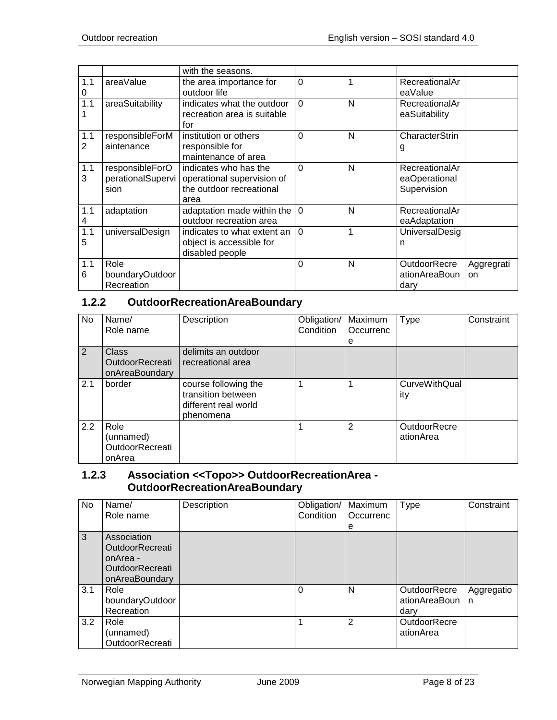|          |                                              | with the seasons.                                                                       |             |   |                                                |                  |
|----------|----------------------------------------------|-----------------------------------------------------------------------------------------|-------------|---|------------------------------------------------|------------------|
| 1.1<br>0 | areaValue                                    | the area importance for<br>outdoor life                                                 | $\mathbf 0$ |   | RecreationalAr<br>eaValue                      |                  |
| 1.1      | areaSuitability                              | indicates what the outdoor<br>recreation area is suitable<br>for                        | $\Omega$    | N | RecreationalAr<br>eaSuitability                |                  |
| 1.1<br>2 | responsibleForM<br>aintenance                | institution or others<br>responsible for<br>maintenance of area                         | $\mathbf 0$ | N | CharacterStrin<br>g                            |                  |
| 1.1<br>3 | responsibleForO<br>perationalSupervi<br>sion | indicates who has the<br>operational supervision of<br>the outdoor recreational<br>area | $\Omega$    | N | RecreationalAr<br>eaOperational<br>Supervision |                  |
| 1.1<br>4 | adaptation                                   | adaptation made within the<br>outdoor recreation area                                   | $\Omega$    | N | RecreationalAr<br>eaAdaptation                 |                  |
| 1.1<br>5 | universalDesign                              | indicates to what extent an<br>object is accessible for<br>disabled people              | $\Omega$    | 1 | <b>UniversalDesig</b><br>n                     |                  |
| 1.1<br>6 | Role<br>boundaryOutdoor<br>Recreation        |                                                                                         | $\Omega$    | N | OutdoorRecre<br>ationAreaBoun<br>dary          | Aggregrati<br>on |

# <span id="page-7-0"></span>**1.2.2 OutdoorRecreationAreaBoundary**

| No  | Name/<br>Role name                                | Description                                                                     | Obligation/<br>Condition | Maximum<br>Occurrenc<br>е | <b>Type</b>                      | Constraint |
|-----|---------------------------------------------------|---------------------------------------------------------------------------------|--------------------------|---------------------------|----------------------------------|------------|
| 2   | <b>Class</b><br>OutdoorRecreati<br>onAreaBoundary | delimits an outdoor<br>recreational area                                        |                          |                           |                                  |            |
| 2.1 | border                                            | course following the<br>transition between<br>different real world<br>phenomena |                          |                           | <b>CurveWithQual</b><br>ity      |            |
| 2.2 | Role<br>(unnamed)<br>OutdoorRecreati<br>onArea    |                                                                                 |                          | 2                         | <b>OutdoorRecre</b><br>ationArea |            |

#### <span id="page-7-1"></span>**1.2.3 Association <<Topo>> OutdoorRecreationArea - OutdoorRecreationAreaBoundary**

| No  | Name/<br>Role name                                                                            | Description | Obligation/<br>Condition | Maximum<br>Occurrenc<br>е | Type                                  | Constraint      |
|-----|-----------------------------------------------------------------------------------------------|-------------|--------------------------|---------------------------|---------------------------------------|-----------------|
| 3   | Association<br><b>OutdoorRecreati</b><br>onArea -<br><b>OutdoorRecreati</b><br>onAreaBoundary |             |                          |                           |                                       |                 |
| 3.1 | Role<br>boundaryOutdoor<br>Recreation                                                         |             | $\Omega$                 | N                         | OutdoorRecre<br>ationAreaBoun<br>darv | Aggregatio<br>n |
| 3.2 | Role<br>(unnamed)<br>OutdoorRecreati                                                          |             |                          | 2                         | <b>OutdoorRecre</b><br>ationArea      |                 |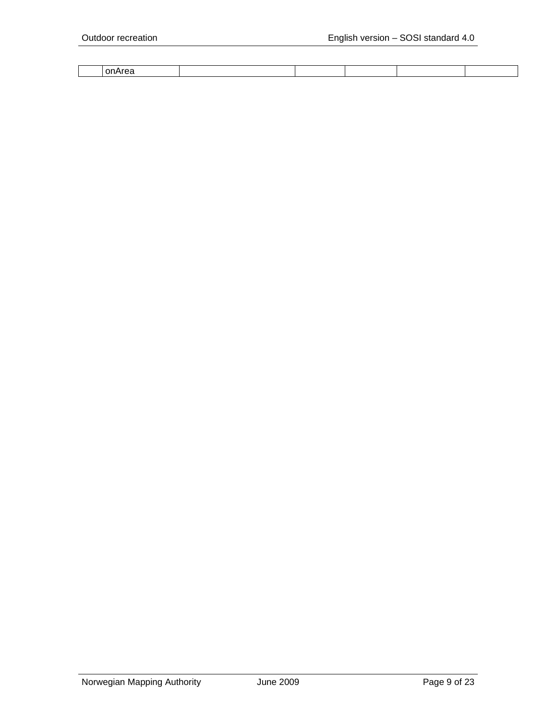| ш<br>___ |  |  |  |
|----------|--|--|--|
|          |  |  |  |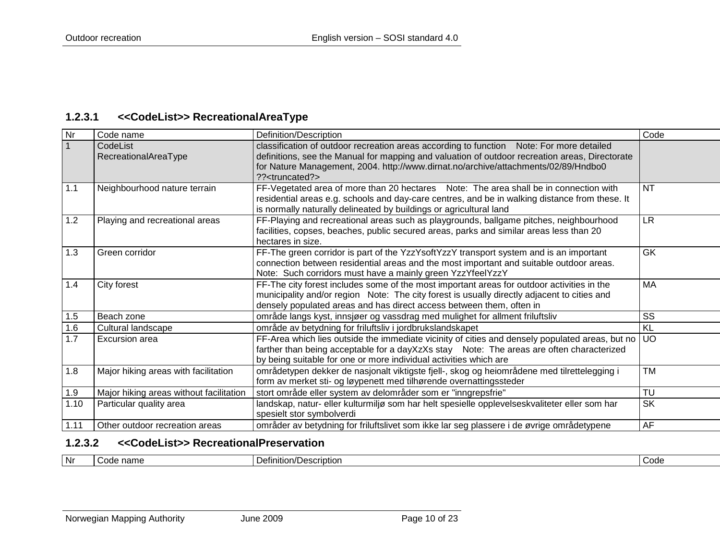#### **1.2.3.1 <<CodeList>> RecreationalAreaType**

<span id="page-9-0"></span>

| Nr   | Code name                               | Definition/Description                                                                                                                                                                                                                                                                                           | Code            |
|------|-----------------------------------------|------------------------------------------------------------------------------------------------------------------------------------------------------------------------------------------------------------------------------------------------------------------------------------------------------------------|-----------------|
|      | CodeList<br>RecreationalAreaType        | classification of outdoor recreation areas according to function Note: For more detailed<br>definitions, see the Manual for mapping and valuation of outdoor recreation areas, Directorate<br>for Nature Management, 2004. http://www.dirnat.no/archive/attachments/02/89/Hndbo0<br>?? <truncated?></truncated?> |                 |
| 1.1  | Neighbourhood nature terrain            | FF-Vegetated area of more than 20 hectares Note: The area shall be in connection with<br>residential areas e.g. schools and day-care centres, and be in walking distance from these. It<br>is normally naturally delineated by buildings or agricultural land                                                    | <b>NT</b>       |
| 1.2  | Playing and recreational areas          | FF-Playing and recreational areas such as playgrounds, ballgame pitches, neighbourhood<br>facilities, copses, beaches, public secured areas, parks and similar areas less than 20<br>hectares in size.                                                                                                           | LR.             |
| 1.3  | Green corridor                          | FF-The green corridor is part of the YzzYsoftYzzY transport system and is an important<br>connection between residential areas and the most important and suitable outdoor areas.<br>Note: Such corridors must have a mainly green YzzYfeelYzzY                                                                  | <b>GK</b>       |
| 1.4  | City forest                             | FF-The city forest includes some of the most important areas for outdoor activities in the<br>municipality and/or region Note: The city forest is usually directly adjacent to cities and<br>densely populated areas and has direct access between them, often in                                                | <b>MA</b>       |
| 1.5  | Beach zone                              | område langs kyst, innsjøer og vassdrag med mulighet for allment friluftsliv                                                                                                                                                                                                                                     | SS              |
| 1.6  | Cultural landscape                      | område av betydning for friluftsliv i jordbrukslandskapet                                                                                                                                                                                                                                                        | $\overline{KL}$ |
| 1.7  | <b>Excursion area</b>                   | FF-Area which lies outside the immediate vicinity of cities and densely populated areas, but no<br>farther than being acceptable for a dayXzXs stay Note: The areas are often characterized<br>by being suitable for one or more individual activities which are                                                 | <b>UO</b>       |
| 1.8  | Major hiking areas with facilitation    | områdetypen dekker de nasjonalt viktigste fjell-, skog og heiområdene med tilrettelegging i<br>form av merket sti- og løypenett med tilhørende overnattingssteder                                                                                                                                                | <b>TM</b>       |
| 1.9  | Major hiking areas without facilitation | stort område eller system av delområder som er "inngrepsfrie"                                                                                                                                                                                                                                                    | TU              |
| 1.10 | Particular quality area                 | landskap, natur- eller kulturmiljø som har helt spesielle opplevelseskvaliteter eller som har<br>spesielt stor symbolverdi                                                                                                                                                                                       | <b>SK</b>       |
| 1.11 | Other outdoor recreation areas          | områder av betydning for friluftslivet som ikke lar seg plassere i de øvrige områdetypene                                                                                                                                                                                                                        | AF              |

# **1.2.3.2 <<CodeList>> RecreationalPreservation**

<span id="page-9-1"></span>

|  | l Nr | ึำam∈<br>$\sim$ $\sim$ $\sim$ | __<br>ïptior<br>10e <i>r</i><br>'Inition/I<br>. .<br><b>DUJU</b><br>. | Code |
|--|------|-------------------------------|-----------------------------------------------------------------------|------|
|--|------|-------------------------------|-----------------------------------------------------------------------|------|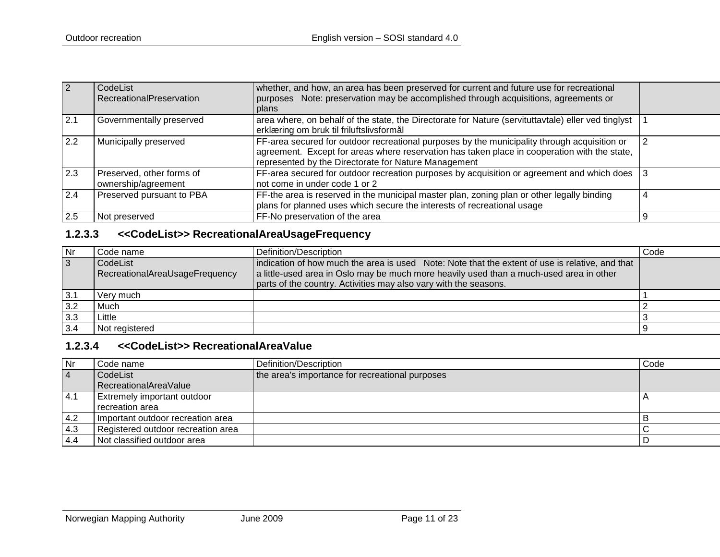| $\overline{2}$   | CodeList<br>RecreationalPreservation             | whether, and how, an area has been preserved for current and future use for recreational<br>purposes Note: preservation may be accomplished through acquisitions, agreements or<br>plans                                                             |  |
|------------------|--------------------------------------------------|------------------------------------------------------------------------------------------------------------------------------------------------------------------------------------------------------------------------------------------------------|--|
| 2.1              | Governmentally preserved                         | area where, on behalf of the state, the Directorate for Nature (servituttavtale) eller ved tinglyst<br>erklæring om bruk til friluftslivsformål                                                                                                      |  |
| $\overline{2.2}$ | Municipally preserved                            | FF-area secured for outdoor recreational purposes by the municipality through acquisition or<br>agreement. Except for areas where reservation has taken place in cooperation with the state,<br>represented by the Directorate for Nature Management |  |
| 2.3              | Preserved, other forms of<br>ownership/agreement | FF-area secured for outdoor recreation purposes by acquisition or agreement and which does<br>not come in under code 1 or 2                                                                                                                          |  |
| 2.4              | Preserved pursuant to PBA                        | FF-the area is reserved in the municipal master plan, zoning plan or other legally binding<br>plans for planned uses which secure the interests of recreational usage                                                                                |  |
| 2.5              | Not preserved                                    | FF-No preservation of the area                                                                                                                                                                                                                       |  |

# **1.2.3.3 <<CodeList>> RecreationalAreaUsageFrequency**

| Nr             | Code name                                    | Definition/Description                                                                                                                                                                     | Code |
|----------------|----------------------------------------------|--------------------------------------------------------------------------------------------------------------------------------------------------------------------------------------------|------|
| $\overline{3}$ | l CodeList<br>RecreationalAreaUsageFrequency | indication of how much the area is used Note: Note that the extent of use is relative, and that<br>a little-used area in Oslo may be much more heavily used than a much-used area in other |      |
|                |                                              | parts of the country. Activities may also vary with the seasons.                                                                                                                           |      |
| 3.1            | Verv much                                    |                                                                                                                                                                                            |      |
| 3.2            | Much                                         |                                                                                                                                                                                            |      |
| 3.3            | Little                                       |                                                                                                                                                                                            |      |
| 3.4            | Not registered                               |                                                                                                                                                                                            |      |

# **1.2.3.4 <<CodeList>> RecreationalAreaValue**

<span id="page-10-1"></span><span id="page-10-0"></span>

| <b>Nr</b> | Code name                          | Definition/Description                          | Code |
|-----------|------------------------------------|-------------------------------------------------|------|
| $\vert 4$ | CodeList                           | the area's importance for recreational purposes |      |
|           | RecreationalAreaValue              |                                                 |      |
| $-4.1$    | <b>Extremely important outdoor</b> |                                                 |      |
|           | recreation area                    |                                                 |      |
| $-4.2$    | Important outdoor recreation area  |                                                 |      |
| $-4.3$    | Registered outdoor recreation area |                                                 |      |
| 4.4       | Not classified outdoor area        |                                                 |      |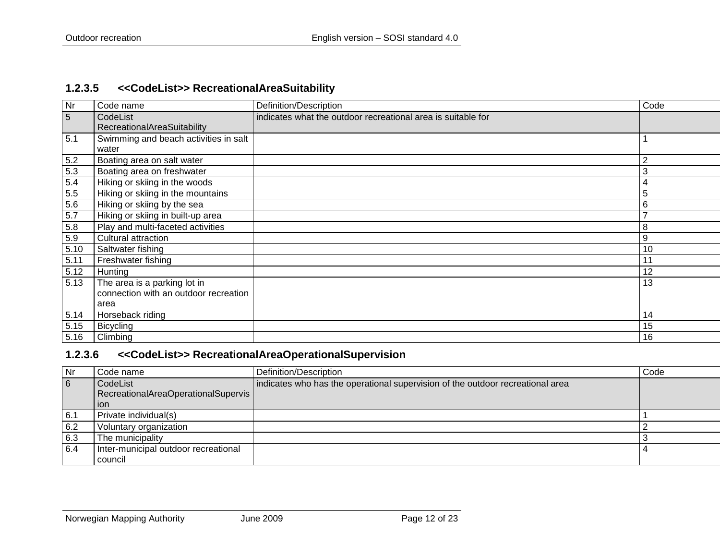#### **1.2.3.5 <<CodeList>> RecreationalAreaSuitability**

| <b>Nr</b> | Code name                             | Definition/Description                                       | Code           |
|-----------|---------------------------------------|--------------------------------------------------------------|----------------|
| 5         | CodeList                              | indicates what the outdoor recreational area is suitable for |                |
|           | RecreationalAreaSuitability           |                                                              |                |
| 5.1       | Swimming and beach activities in salt |                                                              |                |
|           | water                                 |                                                              |                |
| 5.2       | Boating area on salt water            |                                                              | $\overline{2}$ |
| 5.3       | Boating area on freshwater            |                                                              | 3              |
| 5.4       | Hiking or skiing in the woods         |                                                              |                |
| $5.5\,$   | Hiking or skiing in the mountains     |                                                              | 5              |
| 5.6       | Hiking or skiing by the sea           |                                                              | 6              |
| $5.7\,$   | Hiking or skiing in built-up area     |                                                              |                |
| 5.8       | Play and multi-faceted activities     |                                                              | 8              |
| 5.9       | Cultural attraction                   |                                                              | 9              |
| 5.10      | Saltwater fishing                     |                                                              | 10             |
| 5.11      | Freshwater fishing                    |                                                              | 11             |
| 5.12      | Hunting                               |                                                              | 12             |
| 5.13      | The area is a parking lot in          |                                                              | 13             |
|           | connection with an outdoor recreation |                                                              |                |
|           | area                                  |                                                              |                |
| 5.14      | Horseback riding                      |                                                              | 14             |
| 5.15      | <b>Bicycling</b>                      |                                                              | 15             |
| 5.16      | Climbing                              |                                                              | 16             |

## <span id="page-11-0"></span>**1.2.3.6 <<CodeList>> RecreationalAreaOperationalSupervision**

<span id="page-11-1"></span>

| Nr  | Code name                            | Definition/Description                                                         | Code |
|-----|--------------------------------------|--------------------------------------------------------------------------------|------|
| 6   | CodeList                             | indicates who has the operational supervision of the outdoor recreational area |      |
|     | RecreationalAreaOperationalSupervis  |                                                                                |      |
|     | ion                                  |                                                                                |      |
| 6.1 | Private individual(s)                |                                                                                |      |
| 6.2 | Voluntary organization               |                                                                                |      |
| 6.3 | The municipality                     |                                                                                |      |
| 6.4 | Inter-municipal outdoor recreational |                                                                                |      |
|     | council                              |                                                                                |      |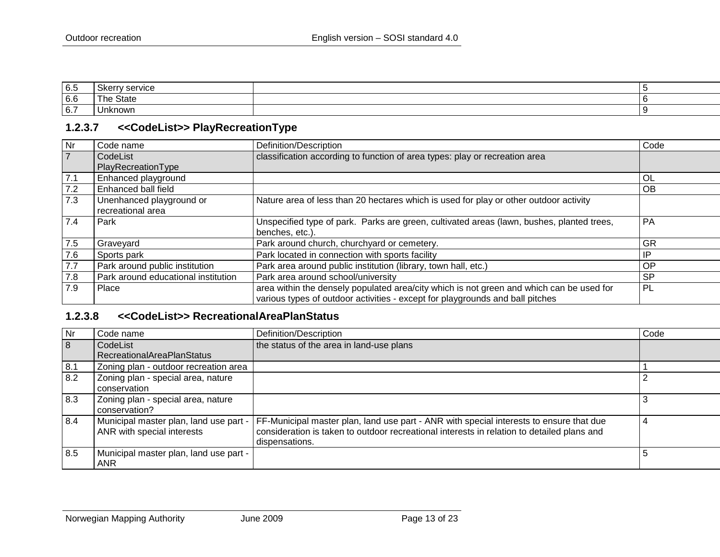| 6.5 | ∵servic∈<br>ື້ |  |
|-----|----------------|--|
| 6.6 | State<br>i ne  |  |
| 6.7 | Unknown        |  |

## **1.2.3.7 <<CodeList>> PlayRecreationType**

| Nr  | Code name                           | Definition/Description                                                                    | Code      |
|-----|-------------------------------------|-------------------------------------------------------------------------------------------|-----------|
|     | CodeList                            | classification according to function of area types: play or recreation area               |           |
|     | PlayRecreationType                  |                                                                                           |           |
| 7.1 | Enhanced playground                 |                                                                                           | OL        |
| 7.2 | Enhanced ball field                 |                                                                                           | <b>OB</b> |
| 7.3 | Unenhanced playground or            | Nature area of less than 20 hectares which is used for play or other outdoor activity     |           |
|     | recreational area                   |                                                                                           |           |
| 7.4 | Park                                | Unspecified type of park. Parks are green, cultivated areas (lawn, bushes, planted trees, | PA        |
|     |                                     | benches, etc.).                                                                           |           |
| 7.5 | Graveyard                           | Park around church, churchyard or cemetery.                                               | GR        |
| 7.6 | Sports park                         | Park located in connection with sports facility                                           | IP        |
| 7.7 | Park around public institution      | Park area around public institution (library, town hall, etc.)                            | OP        |
| 7.8 | Park around educational institution | Park area around school/university                                                        | <b>SP</b> |
| 7.9 | Place                               | area within the densely populated area/city which is not green and which can be used for  | PL        |
|     |                                     | various types of outdoor activities - except for playgrounds and ball pitches             |           |

# <span id="page-12-0"></span>**1.2.3.8 <<CodeList>> RecreationalAreaPlanStatus**

<span id="page-12-1"></span>

| Nr  | Code name                              | Definition/Description                                                                     | Code |
|-----|----------------------------------------|--------------------------------------------------------------------------------------------|------|
| 8   | CodeList                               | the status of the area in land-use plans                                                   |      |
|     | <b>RecreationalAreaPlanStatus</b>      |                                                                                            |      |
| 8.1 | Zoning plan - outdoor recreation area  |                                                                                            |      |
| 8.2 | Zoning plan - special area, nature     |                                                                                            |      |
|     | conservation                           |                                                                                            |      |
| 8.3 | Zoning plan - special area, nature     |                                                                                            |      |
|     | conservation?                          |                                                                                            |      |
| 8.4 | Municipal master plan, land use part - | FF-Municipal master plan, land use part - ANR with special interests to ensure that due    |      |
|     | ANR with special interests             | consideration is taken to outdoor recreational interests in relation to detailed plans and |      |
|     |                                        | dispensations.                                                                             |      |
| 8.5 | Municipal master plan, land use part - |                                                                                            |      |
|     | ANR                                    |                                                                                            |      |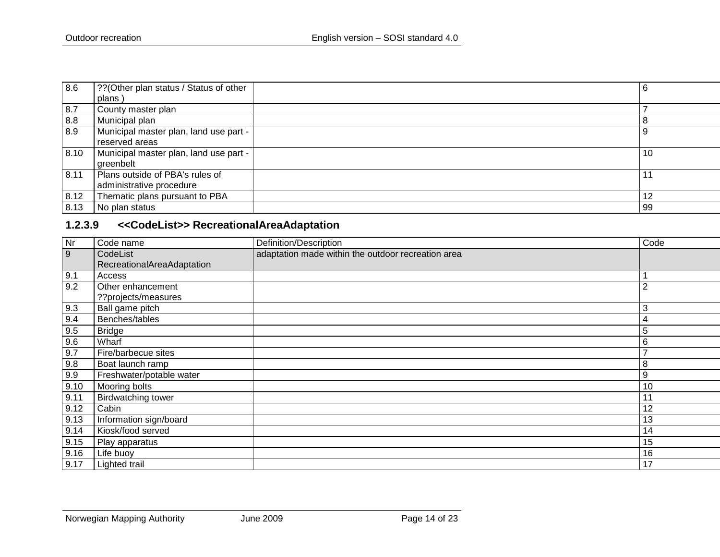| 8.6  | ?? (Other plan status / Status of other<br>plans )          | -6 |
|------|-------------------------------------------------------------|----|
| 8.7  | County master plan                                          |    |
| 8.8  | Municipal plan                                              |    |
| 8.9  | Municipal master plan, land use part -<br>reserved areas    |    |
| 8.10 | Municipal master plan, land use part -<br>greenbelt         | 10 |
| 8.11 | Plans outside of PBA's rules of<br>administrative procedure |    |
| 8.12 | Thematic plans pursuant to PBA                              | 12 |
| 8.13 | No plan status                                              | 99 |

# **1.2.3.9 <<CodeList>> RecreationalAreaAdaptation**

<span id="page-13-0"></span>

| $\overline{\mathsf{N}}$ r | Code name                  | Definition/Description                             | Code           |
|---------------------------|----------------------------|----------------------------------------------------|----------------|
| 9                         | CodeList                   | adaptation made within the outdoor recreation area |                |
|                           | RecreationalAreaAdaptation |                                                    |                |
| 9.1                       | Access                     |                                                    |                |
| 9.2                       | Other enhancement          |                                                    | $\overline{2}$ |
|                           | ??projects/measures        |                                                    |                |
| 9.3                       | Ball game pitch            |                                                    | 3              |
| 9.4                       | Benches/tables             |                                                    | 4              |
| 9.5                       | <b>Bridge</b>              |                                                    | 5              |
| 9.6                       | Wharf                      |                                                    | 6              |
| 9.7                       | Fire/barbecue sites        |                                                    | $\overline{ }$ |
| $9.8\,$                   | Boat launch ramp           |                                                    | 8              |
| 9.9                       | Freshwater/potable water   |                                                    | 9              |
| 9.10                      | Mooring bolts              |                                                    | 10             |
| 9.11                      | <b>Birdwatching tower</b>  |                                                    | 11             |
| 9.12                      | Cabin                      |                                                    | 12             |
| 9.13                      | Information sign/board     |                                                    | 13             |
| 9.14                      | Kiosk/food served          |                                                    | 14             |
| 9.15                      | Play apparatus             |                                                    | 15             |
| 9.16                      | Life buoy                  |                                                    | 16             |
| 9.17                      | Lighted trail              |                                                    | 17             |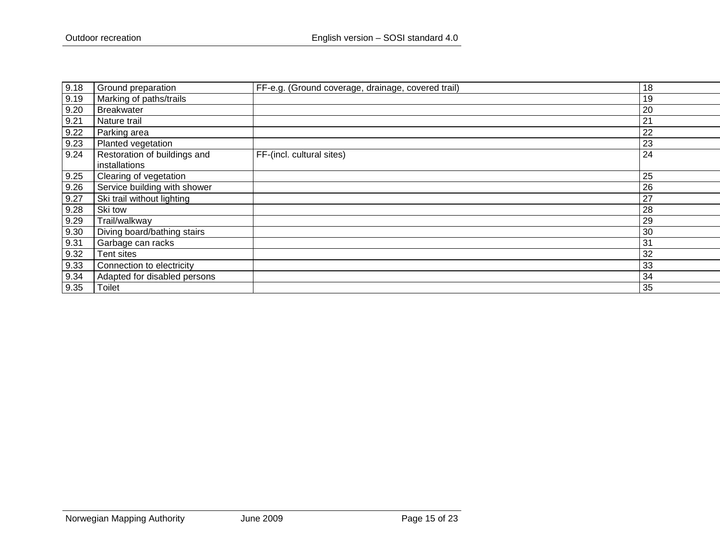| 9.18 | Ground preparation                            | FF-e.g. (Ground coverage, drainage, covered trail) | 18 |
|------|-----------------------------------------------|----------------------------------------------------|----|
| 9.19 | Marking of paths/trails                       |                                                    | 19 |
| 9.20 | Breakwater                                    |                                                    | 20 |
| 9.21 | Nature trail                                  |                                                    | 21 |
| 9.22 | Parking area                                  |                                                    | 22 |
| 9.23 | Planted vegetation                            |                                                    | 23 |
| 9.24 | Restoration of buildings and<br>installations | FF-(incl. cultural sites)                          | 24 |
| 9.25 | <b>Clearing of vegetation</b>                 |                                                    | 25 |
| 9.26 | Service building with shower                  |                                                    | 26 |
| 9.27 | Ski trail without lighting                    |                                                    | 27 |
| 9.28 | Ski tow                                       |                                                    | 28 |
| 9.29 | Trail/walkway                                 |                                                    | 29 |
| 9.30 | Diving board/bathing stairs                   |                                                    | 30 |
| 9.31 | Garbage can racks                             |                                                    | 31 |
| 9.32 | Tent sites                                    |                                                    | 32 |
| 9.33 | Connection to electricity                     |                                                    | 33 |
| 9.34 | Adapted for disabled persons                  |                                                    | 34 |
| 9.35 | Toilet                                        |                                                    | 35 |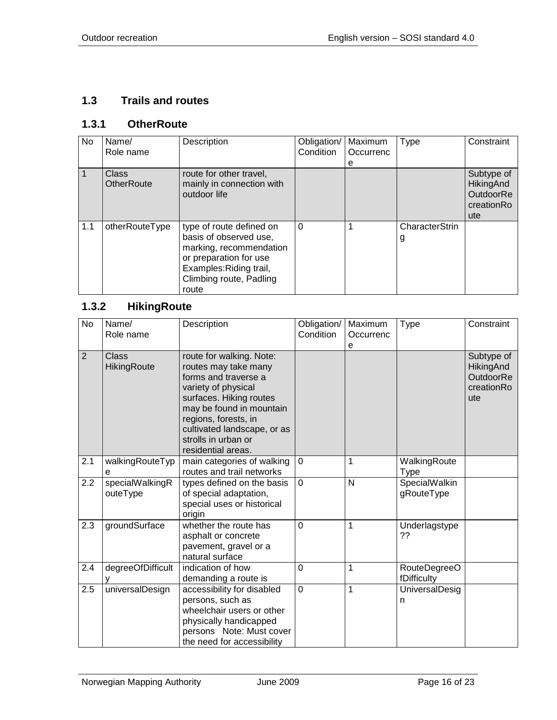#### <span id="page-15-0"></span>**1.3 Trails and routes**

### <span id="page-15-1"></span>**1.3.1 OtherRoute**

| No  | Name/<br>Role name                | Description                                                                                                                                                            | Obligation/<br>Condition | Maximum<br>Occurrenc<br>е | Type                | Constraint                                                |
|-----|-----------------------------------|------------------------------------------------------------------------------------------------------------------------------------------------------------------------|--------------------------|---------------------------|---------------------|-----------------------------------------------------------|
|     | <b>Class</b><br><b>OtherRoute</b> | route for other travel,<br>mainly in connection with<br>outdoor life                                                                                                   |                          |                           |                     | Subtype of<br>HikingAnd<br>OutdoorRe<br>creationRo<br>ute |
| 1.1 | otherRouteType                    | type of route defined on<br>basis of observed use,<br>marking, recommendation<br>or preparation for use<br>Examples: Riding trail,<br>Climbing route, Padling<br>route | $\Omega$                 |                           | CharacterStrin<br>g |                                                           |

## <span id="page-15-2"></span>**1.3.2 HikingRoute**

| <b>No</b>      | Name/<br>Role name          | Description                                                                                                                                                                                                                                                | Obligation/<br>Condition | Maximum<br>Occurrenc<br>e | <b>Type</b>                 | Constraint                                                              |
|----------------|-----------------------------|------------------------------------------------------------------------------------------------------------------------------------------------------------------------------------------------------------------------------------------------------------|--------------------------|---------------------------|-----------------------------|-------------------------------------------------------------------------|
| $\overline{2}$ | <b>Class</b><br>HikingRoute | route for walking. Note:<br>routes may take many<br>forms and traverse a<br>variety of physical<br>surfaces. Hiking routes<br>may be found in mountain<br>regions, forests, in<br>cultivated landscape, or as<br>strolls in urban or<br>residential areas. |                          |                           |                             | Subtype of<br><b>HikingAnd</b><br><b>OutdoorRe</b><br>creationRo<br>ute |
| 2.1            | walkingRouteTyp             | main categories of walking<br>routes and trail networks                                                                                                                                                                                                    | $\mathbf 0$              | 1                         | WalkingRoute<br><b>Type</b> |                                                                         |
| 2.2            | specialWalkingR<br>outeType | types defined on the basis<br>of special adaptation,<br>special uses or historical<br>origin                                                                                                                                                               | $\mathbf 0$              | $\mathsf{N}$              | SpecialWalkin<br>gRouteType |                                                                         |
| 2.3            | groundSurface               | whether the route has<br>asphalt or concrete<br>pavement, gravel or a<br>natural surface                                                                                                                                                                   | $\mathbf 0$              | 1                         | Underlagstype<br>??         |                                                                         |
| 2.4            | degreeOfDifficult           | indication of how<br>demanding a route is                                                                                                                                                                                                                  | $\mathbf 0$              | 1                         | RouteDegreeO<br>fDifficulty |                                                                         |
| 2.5            | universalDesign             | accessibility for disabled<br>persons, such as<br>wheelchair users or other<br>physically handicapped<br>persons Note: Must cover<br>the need for accessibility                                                                                            | $\overline{0}$           | 1                         | UniversalDesig<br>n         |                                                                         |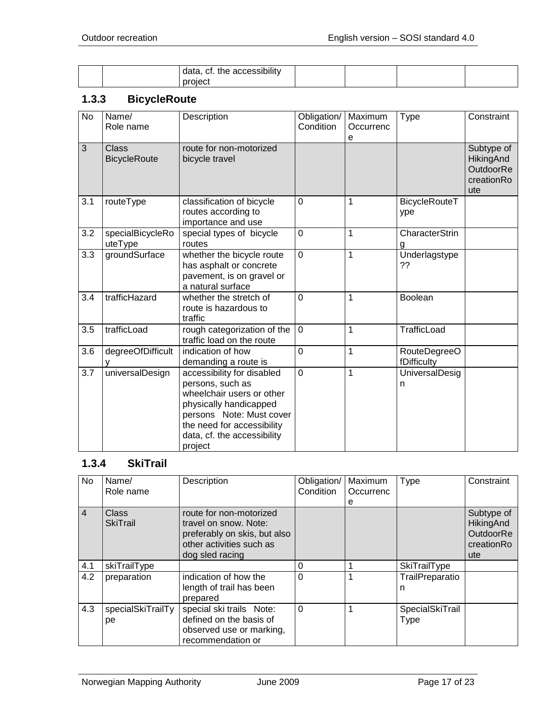|  | .<br>data, cf.<br>accessibility <sup>.</sup><br>the |  |  |
|--|-----------------------------------------------------|--|--|
|  | nroiect                                             |  |  |

## <span id="page-16-0"></span>**1.3.3 BicycleRoute**

| <b>No</b> | Name/<br>Role name           | Description                                                                                                                                                                                               | Obligation/<br>Condition | Maximum<br>Occurrenc<br>e | <b>Type</b>                        | Constraint                                                       |
|-----------|------------------------------|-----------------------------------------------------------------------------------------------------------------------------------------------------------------------------------------------------------|--------------------------|---------------------------|------------------------------------|------------------------------------------------------------------|
| 3         | Class<br><b>BicycleRoute</b> | route for non-motorized<br>bicycle travel                                                                                                                                                                 |                          |                           |                                    | Subtype of<br>HikingAnd<br><b>OutdoorRe</b><br>creationRo<br>ute |
| 3.1       | routeType                    | classification of bicycle<br>routes according to<br>importance and use                                                                                                                                    | 0                        | 1                         | BicycleRouteT<br>ype               |                                                                  |
| 3.2       | specialBicycleRo<br>uteType  | special types of bicycle<br>routes                                                                                                                                                                        | 0                        | 1                         | CharacterStrin<br>g                |                                                                  |
| 3.3       | groundSurface                | whether the bicycle route<br>has asphalt or concrete<br>pavement, is on gravel or<br>a natural surface                                                                                                    | $\overline{0}$           | 1                         | Underlagstype<br>??                |                                                                  |
| 3.4       | trafficHazard                | whether the stretch of<br>route is hazardous to<br>traffic                                                                                                                                                | $\overline{0}$           | 1                         | Boolean                            |                                                                  |
| 3.5       | trafficLoad                  | rough categorization of the<br>traffic load on the route                                                                                                                                                  | $\overline{0}$           | 1                         | TrafficLoad                        |                                                                  |
| 3.6       | degreeOfDifficult            | indication of how<br>demanding a route is                                                                                                                                                                 | $\overline{0}$           | 1                         | <b>RouteDegreeO</b><br>fDifficulty |                                                                  |
| 3.7       | universalDesign              | accessibility for disabled<br>persons, such as<br>wheelchair users or other<br>physically handicapped<br>persons Note: Must cover<br>the need for accessibility<br>data, cf. the accessibility<br>project | $\overline{0}$           | 1                         | UniversalDesig<br>n                |                                                                  |

#### <span id="page-16-1"></span>**1.3.4 SkiTrail**

| No             | Name/<br>Role name              | Description                                                                                                                     | Obligation/<br>Condition | Maximum<br>Occurrenc<br>е | <b>Type</b>             | Constraint                                                       |
|----------------|---------------------------------|---------------------------------------------------------------------------------------------------------------------------------|--------------------------|---------------------------|-------------------------|------------------------------------------------------------------|
| $\overline{4}$ | <b>Class</b><br><b>SkiTrail</b> | route for non-motorized<br>travel on snow. Note:<br>preferably on skis, but also<br>other activities such as<br>dog sled racing |                          |                           |                         | Subtype of<br>HikingAnd<br><b>OutdoorRe</b><br>creationRo<br>ute |
| 4.1            | skiTrailType                    |                                                                                                                                 | 0                        |                           | SkiTrailType            |                                                                  |
| 4.2            | preparation                     | indication of how the<br>length of trail has been<br>prepared                                                                   | $\Omega$                 |                           | TrailPreparatio<br>n    |                                                                  |
| 4.3            | specialSkiTrailTy<br>рe         | special ski trails Note:<br>defined on the basis of<br>observed use or marking,<br>recommendation or                            | $\Omega$                 |                           | SpecialSkiTrail<br>Type |                                                                  |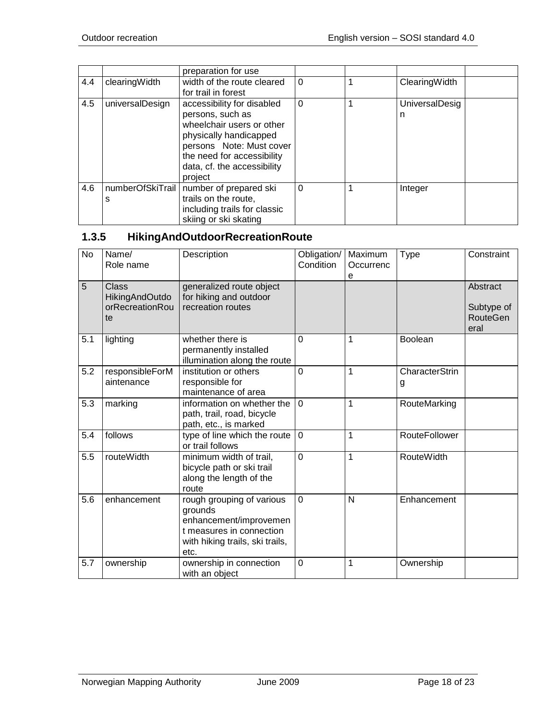|     |                       | preparation for use                                                                                                                                                                                       |          |   |                |  |
|-----|-----------------------|-----------------------------------------------------------------------------------------------------------------------------------------------------------------------------------------------------------|----------|---|----------------|--|
| 4.4 | clearingWidth         | width of the route cleared<br>for trail in forest                                                                                                                                                         | $\Omega$ |   | ClearingWidth  |  |
| 4.5 | universalDesign       | accessibility for disabled<br>persons, such as<br>wheelchair users or other<br>physically handicapped<br>persons Note: Must cover<br>the need for accessibility<br>data, cf. the accessibility<br>project | $\Omega$ | 1 | UniversalDesig |  |
| 4.6 | numberOfSkiTrail<br>S | number of prepared ski<br>trails on the route,<br>including trails for classic<br>skiing or ski skating                                                                                                   | $\Omega$ |   | Integer        |  |

# <span id="page-17-0"></span>**1.3.5 HikingAndOutdoorRecreationRoute**

| <b>No</b> | Name/<br>Role name                                             | Description                                                                                                                           | Obligation/<br>Condition | Maximum<br>Occurrenc<br>е | <b>Type</b>          | Constraint                                        |
|-----------|----------------------------------------------------------------|---------------------------------------------------------------------------------------------------------------------------------------|--------------------------|---------------------------|----------------------|---------------------------------------------------|
| 5         | <b>Class</b><br><b>HikingAndOutdo</b><br>orRecreationRou<br>te | generalized route object<br>for hiking and outdoor<br>recreation routes                                                               |                          |                           |                      | Abstract<br>Subtype of<br><b>RouteGen</b><br>eral |
| 5.1       | lighting                                                       | whether there is<br>permanently installed<br>illumination along the route                                                             | $\Omega$                 | 1                         | <b>Boolean</b>       |                                                   |
| 5.2       | responsibleForM<br>aintenance                                  | institution or others<br>responsible for<br>maintenance of area                                                                       | $\Omega$                 | 1                         | CharacterStrin<br>g  |                                                   |
| 5.3       | marking                                                        | information on whether the<br>path, trail, road, bicycle<br>path, etc., is marked                                                     | $\mathbf 0$              | $\mathbf{1}$              | RouteMarking         |                                                   |
| 5.4       | follows                                                        | type of line which the route<br>or trail follows                                                                                      | $\overline{0}$           | 1                         | <b>RouteFollower</b> |                                                   |
| 5.5       | routeWidth                                                     | minimum width of trail,<br>bicycle path or ski trail<br>along the length of the<br>route                                              | $\mathbf 0$              | 1                         | <b>RouteWidth</b>    |                                                   |
| 5.6       | enhancement                                                    | rough grouping of various<br>grounds<br>enhancement/improvemen<br>t measures in connection<br>with hiking trails, ski trails,<br>etc. | $\mathbf 0$              | N                         | Enhancement          |                                                   |
| 5.7       | ownership                                                      | ownership in connection<br>with an object                                                                                             | $\mathbf 0$              | 1                         | Ownership            |                                                   |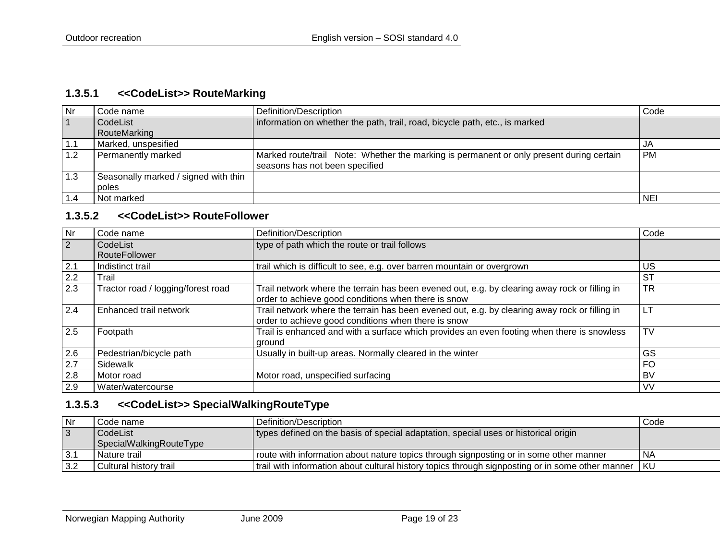#### **1.3.5.1 <<CodeList>> RouteMarking**

| <b>Nr</b> | Code name                            | Definition/Description                                                                   | Code      |
|-----------|--------------------------------------|------------------------------------------------------------------------------------------|-----------|
|           | CodeList                             | information on whether the path, trail, road, bicycle path, etc., is marked              |           |
|           | RouteMarking                         |                                                                                          |           |
| 1.1       | Marked, unspesified                  |                                                                                          | JA        |
| 1.2       | Permanently marked                   | Marked route/trail Note: Whether the marking is permanent or only present during certain | <b>PM</b> |
|           |                                      | seasons has not been specified                                                           |           |
| 1.3       | Seasonally marked / signed with thin |                                                                                          |           |
|           | poles                                |                                                                                          |           |
|           | Not marked                           |                                                                                          | NEI       |

#### **1.3.5.2 <<CodeList>> RouteFollower**

<span id="page-18-0"></span>

| Nr  | Code name                          | Definition/Description                                                                                                                               | Code      |
|-----|------------------------------------|------------------------------------------------------------------------------------------------------------------------------------------------------|-----------|
| 2   | CodeList<br>RouteFollower          | type of path which the route or trail follows                                                                                                        |           |
| 2.1 | Indistinct trail                   | trail which is difficult to see, e.g. over barren mountain or overgrown                                                                              | US        |
| 2.2 | Trail                              |                                                                                                                                                      | <b>ST</b> |
| 2.3 | Tractor road / logging/forest road | Trail network where the terrain has been evened out, e.g. by clearing away rock or filling in<br>order to achieve good conditions when there is snow | <b>TR</b> |
| 2.4 | Enhanced trail network             | Trail network where the terrain has been evened out, e.g. by clearing away rock or filling in<br>order to achieve good conditions when there is snow | LT.       |
| 2.5 | Footpath                           | Trail is enhanced and with a surface which provides an even footing when there is snowless<br>ground                                                 | TV        |
| 2.6 | Pedestrian/bicycle path            | Usually in built-up areas. Normally cleared in the winter                                                                                            | GS        |
| 2.7 | Sidewalk                           |                                                                                                                                                      | <b>FO</b> |
| 2.8 | Motor road                         | Motor road, unspecified surfacing                                                                                                                    | <b>BV</b> |
| 2.9 | Water/watercourse                  |                                                                                                                                                      | <b>VV</b> |

# <span id="page-18-1"></span>**1.3.5.3 <<CodeList>> SpecialWalkingRouteType**

| l Nr           | Code name                           | Definition/Description                                                                           | Code |
|----------------|-------------------------------------|--------------------------------------------------------------------------------------------------|------|
| $\overline{3}$ | CodeList<br>SpecialWalkingRouteType | types defined on the basis of special adaptation, special uses or historical origin              |      |
| l 3.1          | l Nature trail                      | route with information about nature topics through signposting or in some other manner           | NA   |
| $-3.2$         | Cultural history trail              | trail with information about cultural history topics through signposting or in some other manner | l KU |

<span id="page-18-2"></span>Norwegian Mapping Authority **June 2009 Page 19 of 23**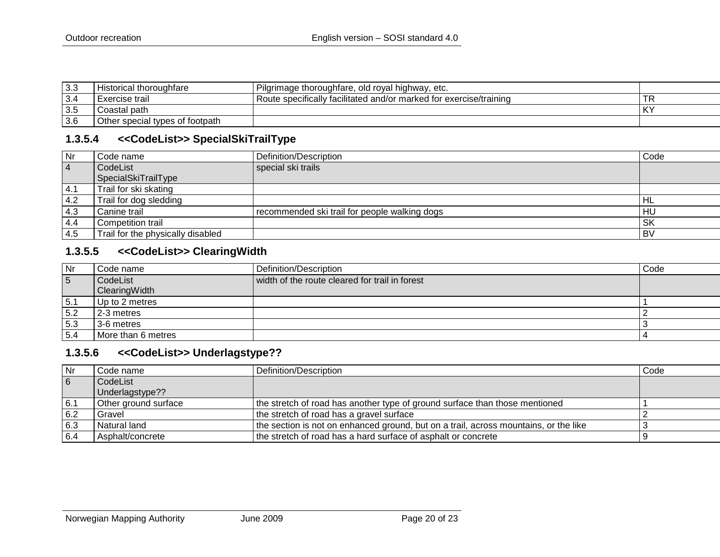| 3.3 | Historical thoroughfare         | Pilgrimage thoroughfare, old royal highway,<br>etc.                |    |
|-----|---------------------------------|--------------------------------------------------------------------|----|
| 3.4 | Exercise trail                  | Route specifically facilitated and/or marked for exercise/training | ΤR |
| 3.5 | Coastal path                    |                                                                    | KY |
| 3.6 | Other special types of footpath |                                                                    |    |

#### **1.3.5.4 <<CodeList>> SpecialSkiTrailType**

| Nr             | Code name                         | Definition/Description                        | Code      |
|----------------|-----------------------------------|-----------------------------------------------|-----------|
| $\overline{4}$ | CodeList                          | special ski trails                            |           |
|                | SpecialSkiTrailType               |                                               |           |
| 4.1            | Trail for ski skating             |                                               |           |
| 4.2            | Trail for dog sledding            |                                               | ' HL      |
| 4.3            | Canine trail                      | recommended ski trail for people walking dogs | HU        |
| 4.4            | Competition trail                 |                                               | <b>SK</b> |
| 4.5            | Trail for the physically disabled |                                               | l BV      |

## **1.3.5.5 <<CodeList>> ClearingWidth**

<span id="page-19-0"></span>

| Nr  | Code name                 | Definition/Description                         | Code |
|-----|---------------------------|------------------------------------------------|------|
| 5   | CodeList<br>ClearingWidth | width of the route cleared for trail in forest |      |
| 5.1 | Up to 2 metres            |                                                |      |
| 5.2 | 2-3 metres                |                                                |      |
| 5.3 | 3-6 metres                |                                                |      |
| 5.4 | More than 6 metres        |                                                |      |

#### **1.3.5.6 <<CodeList>> Underlagstype??**

<span id="page-19-2"></span><span id="page-19-1"></span>

| Nr  | Code name            | Definition/Description                                                               | Code |
|-----|----------------------|--------------------------------------------------------------------------------------|------|
| 6   | CodeList             |                                                                                      |      |
|     | Underlagstype??      |                                                                                      |      |
| 6.1 | Other ground surface | the stretch of road has another type of ground surface than those mentioned          |      |
| 6.2 | Gravel               | the stretch of road has a gravel surface                                             |      |
| 6.3 | Natural land         | the section is not on enhanced ground, but on a trail, across mountains, or the like |      |
| 6.4 | Asphalt/concrete     | the stretch of road has a hard surface of asphalt or concrete                        |      |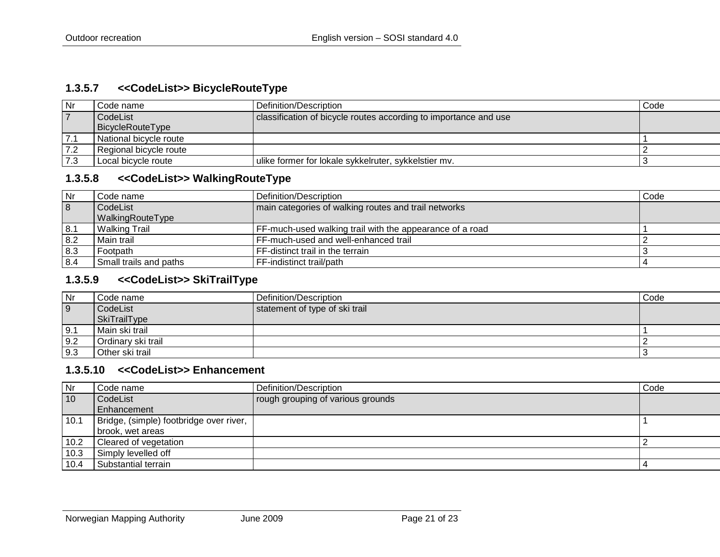#### **1.3.5.7 <<CodeList>> BicycleRouteType**

| Nr             | Code name :            | Definition/Description                                           | Code |
|----------------|------------------------|------------------------------------------------------------------|------|
| $\overline{7}$ | CodeList               | classification of bicycle routes according to importance and use |      |
|                | BicycleRouteType       |                                                                  |      |
| 7.1            | National bicycle route |                                                                  |      |
| 7.2            | Regional bicycle route |                                                                  |      |
| 7.3            | Local bicycle route    | ulike former for lokale sykkelruter, sykkelstier mv.             |      |

#### **1.3.5.8 <<CodeList>> WalkingRouteType**

| Nr  | ⊩Code name             | Definition/Description                                   | Code |
|-----|------------------------|----------------------------------------------------------|------|
| 8   | CodeList               | main categories of walking routes and trail networks     |      |
|     | WalkingRouteType       |                                                          |      |
| 8.1 | Walking Trail          | FF-much-used walking trail with the appearance of a road |      |
| 8.2 | Main trail             | FF-much-used and well-enhanced trail                     |      |
| 8.3 | Footpath               | FF-distinct trail in the terrain                         |      |
| 8.4 | Small trails and paths | FF-indistinct trail/path                                 |      |

## <span id="page-20-0"></span>**1.3.5.9 <<CodeList>> SkiTrailType**

| Nr             | Code name           | Definition/Description         | Code |
|----------------|---------------------|--------------------------------|------|
| $\overline{9}$ | CodeList            | statement of type of ski trail |      |
|                | <b>SkiTrailType</b> |                                |      |
| $\vert 9.1$    | Main ski trail      |                                |      |
| 9.2            | Ordinary ski trail  |                                |      |
| 9.3            | Other ski trail     |                                |      |

#### <span id="page-20-1"></span>**1.3.5.10 <<CodeList>> Enhancement**

<span id="page-20-3"></span><span id="page-20-2"></span>

| Nr   | Code name                               | Definition/Description            | Code |
|------|-----------------------------------------|-----------------------------------|------|
| 10   | CodeList                                | rough grouping of various grounds |      |
|      | Enhancement                             |                                   |      |
| 10.1 | Bridge, (simple) footbridge over river, |                                   |      |
|      | brook, wet areas                        |                                   |      |
| 10.2 | Cleared of vegetation                   |                                   |      |
| 10.3 | Simply levelled off                     |                                   |      |
| 10.4 | Substantial terrain                     |                                   |      |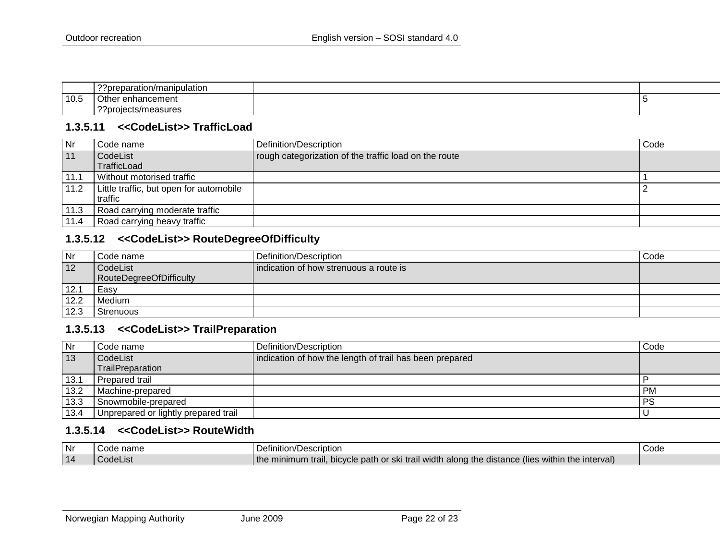|      | $\sim$<br>?preparation/manipulation |  |
|------|-------------------------------------|--|
| 10.5 | Other<br>enhancement                |  |
|      | $\sim$<br>oro?<br>.ects/measures    |  |

#### **1.3.5.11 <<CodeList>> TrafficLoad**

| Nr         | Code name                               | Definition/Description                                | Code |
|------------|-----------------------------------------|-------------------------------------------------------|------|
| $\vert$ 11 | CodeList                                | rough categorization of the traffic load on the route |      |
|            | TrafficLoad                             |                                                       |      |
| 11.1       | Without motorised traffic               |                                                       |      |
| 11.2       | Little traffic, but open for automobile |                                                       |      |
|            | l traffic                               |                                                       |      |
| 11.3       | Road carrying moderate traffic          |                                                       |      |
| 11.4       | Road carrying heavy traffic             |                                                       |      |

#### **1.3.5.12 <<CodeList>> RouteDegreeOfDifficulty**

<span id="page-21-0"></span>

| Nr   | Code name               | Definition/Description                 | Code |
|------|-------------------------|----------------------------------------|------|
| 12   | CodeList                | indication of how strenuous a route is |      |
|      | RouteDegreeOfDifficulty |                                        |      |
| 12.1 | Easy                    |                                        |      |
| 12.2 | Medium                  |                                        |      |
| 12.3 | Strenuous               |                                        |      |

### **1.3.5.13 <<CodeList>> TrailPreparation**

| Nr   | Code name                            | Definition/Description                                  | Code      |
|------|--------------------------------------|---------------------------------------------------------|-----------|
| 13   | CodeList                             | indication of how the length of trail has been prepared |           |
|      | TrailPreparation                     |                                                         |           |
| 13.1 | l Prepared trail                     |                                                         |           |
| 13.2 | Machine-prepared                     |                                                         | <b>PM</b> |
| 13.3 | Snowmobile-prepared                  |                                                         | PS        |
| 13.4 | Unprepared or lightly prepared trail |                                                         |           |

#### <span id="page-21-1"></span>**1.3.5.14 <<CodeList>> RouteWidth**

<span id="page-21-3"></span><span id="page-21-2"></span>

| Nr | name     | l Definition/Description                                                                         | Code |
|----|----------|--------------------------------------------------------------------------------------------------|------|
| 14 | UUUELISI | the minimum trail, bicycle path or ski trail width along the distance (lies within the interval) |      |